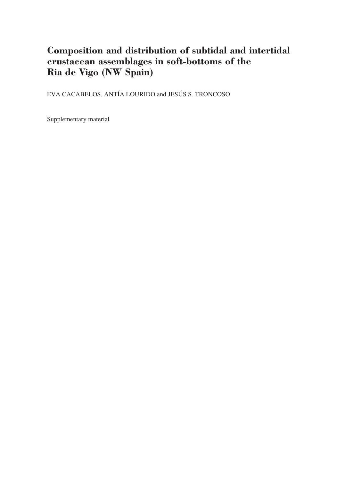## **Composition and distribution of subtidal and intertidal crustacean assemblages in soft-bottoms of the Ria de Vigo (NW Spain)**

EVA CACABELOS, ANTÍA LOURIDO and JESÚS S. TRONCOSO

Supplementary material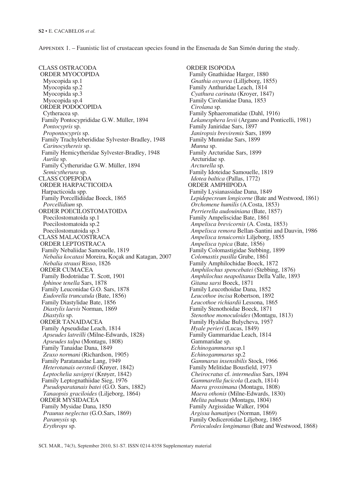Appendix 1. – Faunistic list of crustacean species found in the Ensenada de San Simón during the study.

CLASS OSTRACODA ORDER MYOCOPIDA Myocopida sp.1 Myocopida sp.2 Myocopida sp.3 Myocopida sp.4 ORDER PODOCOPIDA Cytheracea sp. Family Pontocyprididae G.W. Müller, 1894  *Pontocypris* sp.  *Propontocypris* sp. Family Trachyleberididae Sylvester-Bradley, 1948  *Carinocythereis* sp. Family Hemicytheridae Sylvester-Bradley, 1948  *Aurila* sp. Family Cytheruridae G.W. Müller, 1894  *Semicytherura* sp. CLASS COPEPODA ORDER HARPACTICOIDA Harpacticoida spp. Family Porcellidiidae Boeck, 1865  *Porcellidium* sp. ORDER POECILOSTOMATOIDA Poecilostomatoida sp.1 Poecilostomatoida sp.2 Poecilostomatoida sp.3 CLASS MALACOSTRACA ORDER LEPTOSTRACA Family Nebaliidae Samouelle, 1819  *Nebalia kocatasi* Moreira, Koçak and Katagan, 2007  *Nebalia strausi* Risso, 1826 ORDER CUMACEA Family Bodotriidae T. Scott, 1901  *Iphinoe tenella* Sars, 1878 Family Leuconidae G.O. Sars, 1878  *Eudorella truncatula* (Bate, 1856) Family Diastylidae Bate, 1856  *Diastylis laevis* Norman, 1869  *Diastylis* sp. ORDER TANAIDACEA Family Apseudidae Leach, 1814  *Apseudes latreilli* (Milne-Edwards, 1828)  *Apseudes talpa* (Montagu, 1808) Family Tanaidae Dana, 1849  *Zeuxo normani* (Richardson, 1905) Family Paratanaidae Lang, 1949  *Heterotanais oerstedi* (Krøyer, 1842)  *Leptochelia savignyi* (Krøyer, 1842) Family Leptognathiidae Sieg, 1976  *Pseudoparatanais batei* (G.O. Sars, 1882)  *Tanaopsis graciloides* (Liljeborg, 1864) ORDER MYSIDACEA Family Mysidae Dana, 1850  *Praunus neglectus* (G.O.Sars, 1869)  *Paramysis* sp.  *Erythrops* sp.

ORDER ISOPODA Family Gnathiidae Harger, 1880  *Gnathia oxyurea* (Lilljeborg, 1855) Family Anthuridae Leach, 1814  *Cyathura carinata* (Kroyer, 1847) Family Cirolanidae Dana, 1853  *Cirolana* sp. Family Sphaeromatidae (Dahl, 1916)  *Lekanesphera levii* (Argano and Ponticelli, 1981) Family Janiridae Sars, 1897  *Janiropsis breviremis* Sars, 1899 Family Munnidae Sars, 1899  *Munna* sp. Family Arcturidae Sars, 1899 Arcturidae sp.  *Arcturella* sp. Family Idoteidae Samouelle, 1819  *Idotea baltica* (Pallas, 1772) ORDER AMPHIPODA Family Lysianassidae Dana, 1849  *Lepidepecreum longicorne* (Bate and Westwood, 1861)  *Orchomene humilis* (A.Costa, 1853)  *Perrierella audouiniana* (Bate, 1857) Family Ampeliscidae Bate, 1861  *Ampelisca brevicornis* (A. Costa, 1853)  *Ampelisca remora* Bellan-Santini and Dauvin, 1986  *Ampelisca tenuicornis* Liljeborg, 1855  *Ampelisca typica* (Bate, 1856) Family Colomastigidae Stebbing, 1899  *Colomastix pusilla* Grube, 1861 Family Amphilochidae Boeck, 1872  *Amphilochus spencebatei* (Stebbing, 1876)  *Amphilochus neapolitanus* Della Valle, 1893  *Gitana sarsi* Boeck, 1871 Family Leucothoidae Dana, 1852  *Leucothoe incisa* Robertson, 1892  *Leucothoe richiardii* Lessona, 1865 Family Stenothoidae Boeck, 1871  *Stenothoe monoculoides* (Montagu, 1813) Family Hyalidae Bulycheva, 1957  *Hyale perieri* (Lucas, 1849) Family Gammaridae Leach, 1814 Gammaridae sp.  *Echinogammarus* sp.1  *Echinogammarus* sp.2  *Gammarus insensibilis* Stock, 1966 Family Melitidae Bousfield, 1973  *Cheirocratus* cf. *intermedius* Sars, 1894  *Gammarella fucicola* (Leach, 1814)  *Maera grossimana* (Montagu, 1808)  *Maera othonis* (Milne-Edwards, 1830)  *Melita palmata* (Montagu, 1804) Family Argissidae Walker, 1904  *Argissa hamatipes* (Norman, 1869) Family Oedicerotidae Liljeborg, 1865  *Perioculodes longimanus* (Bate and Westwood, 1868)

SCI. MAR., 74(3), September 2010, S1-S7. ISSN 0214-8358 Supplementary material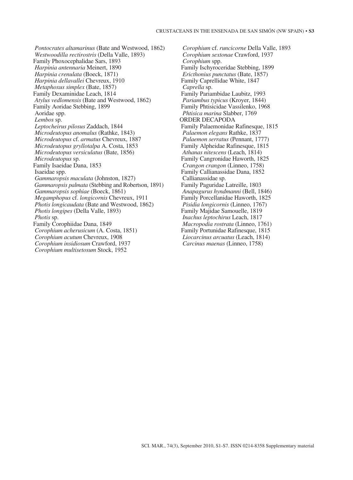*Pontocrates altamarinus* (Bate and Westwood, 1862)  *Westwoodilla rectirostris* (Della Valle, 1893) Family Phoxocephalidae Sars, 1893  *Harpinia antennaria* Meinert, 1890  *Harpinia crenulata* (Boeck, 1871)  *Harpinia dellavallei* Chevreux, 1910  *Metaphoxus simplex* (Bate, 1857) Family Dexaminidae Leach, 1814  *Atylus vedlomensis* (Bate and Westwood, 1862) Family Aoridae Stebbing, 1899 Aoridae spp.  *Lembos* sp.  *Leptocheirus pilosus* Zaddach, 1844  *Microdeutopus anomalus* (Rathke, 1843)  *Microdeutopus* cf. *armatus* Chevreux, 1887  *Microdeutopus gryllotalpa* A. Costa, 1853  *Microdeutopus versiculatus* (Bate, 1856)  *Microdeutopus* sp. Family Isaeidae Dana, 1853 Isaeidae spp.  *Gammaropsis maculata* (Johnston, 1827)  *Gammaropsis palmata* (Stebbing and Robertson, 1891)  *Gammaropsis sophiae* (Boeck, 1861)  *Megamphopus* cf. *longicornis* Chevreux, 1911  *Photis longicaudata* (Bate and Westwood, 1862)  *Photis longipes* (Della Valle, 1893)  *Photis* sp. Family Corophiidae Dana, 1849  *Corophium acherusicum* (A. Costa, 1851)  *Corophium acutum* Chevreux, 1908  *Corophium insidiosum* Crawford, 1937  *Corophium multisetosum* Stock, 1952

 *Corophium* cf. *runcicorne* Della Valle, 1893  *Corophium sextonae* Crawford, 1937  *Corophium* spp. Family Ischyroceridae Stebbing, 1899  *Ericthonius punctatus* (Bate, 1857) Family Caprellidae White, 1847  *Caprella* sp. Family Pariambidae Laubitz, 1993  *Pariambus typicus* (Kroyer, 1844) Family Phtisicidae Vassilenko, 1968  *Phtisica marina* Slabber, 1769 ORDER DECAPODA Family Palaemonidae Rafinesque, 1815  *Palaemon elegans* Rathke, 1837  *Palaemon serratus* (Pennant, 1777) Family Alpheidae Rafinesque, 1815  *Athanas nitescens* (Leach, 1814) Family Cangronidae Haworth, 1825  *Crangon crangon* (Linneo, 1758) Family Callianassidae Dana, 1852 Callianassidae sp. Family Paguridae Latreille, 1803  *Anapagurus hyndmanni* (Bell, 1846) Family Porcellanidae Haworth, 1825  *Pisidia longicornis* (Linneo, 1767) Family Majidae Samouelle, 1819  *Inachus leptochirus* Leach, 1817  *Macropodia rostrata* (Linneo, 1761) Family Portunidae Rafinesque, 1815  *Liocarcinus arcuatus* (Leach, 1814)  *Carcinus maenas* (Linneo, 1758)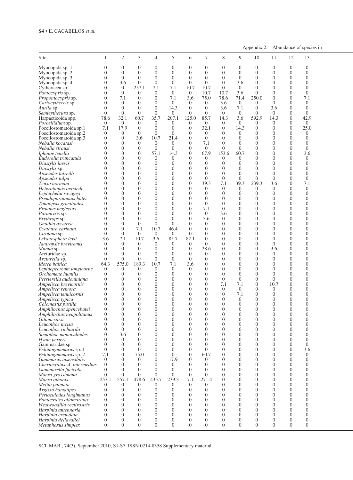## **S4** • E. CACABELOS *et al.*

Appendix  $2. -$  Abundance of species in

| Site                                                |                                  | 2                          |                                  | $\overline{4}$             | 5                                | 6                                | $\tau$                     | 8                          | 9                     | 10                   | -11                  | 12                   | 13                               |  |
|-----------------------------------------------------|----------------------------------|----------------------------|----------------------------------|----------------------------|----------------------------------|----------------------------------|----------------------------|----------------------------|-----------------------|----------------------|----------------------|----------------------|----------------------------------|--|
| Myocopida sp. 1<br>Myocopida sp. 2                  | $\overline{0}$<br>$\overline{0}$ | $\Omega$<br>$\Omega$       | $\Omega$<br>$\Omega$             | $\Omega$<br>$\Omega$       | $\Omega$<br>$\overline{0}$       | $\Omega$<br>$\overline{0}$       | $\Omega$<br>$\Omega$       | $\Omega$<br>$\Omega$       | $\Omega$<br>$\Omega$  | $\Omega$             | $\Omega$<br>$\Omega$ | $\Omega$<br>$\Omega$ | $\overline{0}$<br>$\overline{0}$ |  |
| Myocopida sp. 3                                     | $\theta$                         | $\Omega$                   | $\Omega$                         | $\overline{0}$             | $\overline{0}$                   | $\overline{0}$                   | $\overline{0}$             | $\theta$                   | $\Omega$              | $\Omega$             | $\Omega$             | $\Omega$             | $\Omega$                         |  |
| Myocopida sp. 4                                     | $\overline{0}$<br>$\overline{0}$ | 3.6<br>$\Omega$            | $\Omega$<br>257.                 | $\Omega$<br>7.1            | $\Omega$<br>7.1                  | $\Omega$<br>10.7                 | $\Omega$<br>10.7           | $\Omega$<br>$\overline{0}$ | 3.6<br>$\overline{0}$ | $\Omega$<br>$\Omega$ | $\Omega$<br>$\Omega$ | $\Omega$<br>$\Omega$ | $\Omega$<br>$\Omega$             |  |
| Cytheracea sp.<br>Pontocypris sp.                   | $\Omega$                         | $\overline{0}$             | $\Omega$                         | $\Omega$                   | $\overline{0}$                   | $\overline{0}$                   | 10.7                       | 10.7                       | 3.6                   | $\Omega$             | $\Omega$             | $\Omega$             | $\Omega$                         |  |
| Propontocypris sp.                                  | $\overline{0}$                   | 7.1                        | $\Omega$                         | $\Omega$                   | 7.1                              | 3.6                              | 75.0                       | 78.6                       | 71.4                  | 250.0                | $\Omega$             | $\Omega$             | 7.1                              |  |
| Cariocythereis sp.<br>Aurila sp.                    | $\overline{0}$<br>$\overline{0}$ | $\overline{0}$<br>$\Omega$ | $\Omega$<br>$\Omega$             | $\overline{0}$<br>$\Omega$ | $\overline{0}$<br>14.3           | $\overline{0}$<br>$\overline{0}$ | $\overline{0}$<br>$\Omega$ | 3.6<br>3.6                 | $\overline{0}$<br>7.1 | $\Omega$<br>$\Omega$ | $\Omega$<br>3.6      | $\Omega$<br>$\Omega$ | $\overline{0}$<br>$\overline{0}$ |  |
| Semicytherura sp.                                   | $\overline{0}$                   | $\overline{0}$             | $\Omega$                         | $\Omega$                   | $\Omega$                         | $\Omega$                         | $\Omega$                   | $\overline{0}$             | $\Omega$              | $\Omega$             | $\Omega$             | $\Omega$             | $\overline{0}$                   |  |
| Harpacticoida spp.                                  | 78.6                             | 32.1                       | 60.7                             | 35.7                       | 207.                             | 125.0                            | 85.7                       | 14.3                       | 3.6                   | 592.9                | 14.3                 | $\Omega$             | 42.9                             |  |
| Porcellidium sp.<br>Poecilostomatoida sp.1          | $\overline{0}$                   | $\overline{0}$<br>17.9     | $\Omega$<br>$\overline{0}$       | $\Omega$<br>$\Omega$       | $\Omega$<br>$\overline{0}$       | $\Omega$<br>$\Omega$             | $\Omega$<br>32.1           | $\Omega$<br>$\overline{0}$ | $\theta$<br>14.3      | $\Omega$<br>$\Omega$ | $\Omega$<br>$\Omega$ | $\Omega$<br>$\Omega$ | $\overline{0}$<br>25.0           |  |
| Poecilostomatoida sp.2                              | 7.1<br>$\overline{0}$            | $\Omega$                   | $\Omega$                         | $\Omega$                   | $\overline{0}$                   | $\Omega$                         | $\overline{0}$             | $\Omega$                   | $\overline{0}$        | $\Omega$             | 0                    | $\Omega$             | $\overline{0}$                   |  |
| Poecilostomatoida sp.3                              | $\overline{0}$                   | $\overline{0}$             | 3.6                              | 10.7                       | 21.4                             | $\Omega$                         | $\overline{0}$             | $\Omega$                   | $\Omega$              | $\Omega$             | $\Omega$             | $\Omega$             | $\Omega$                         |  |
| Nebalia kocatasi                                    | $\overline{0}$                   | $\Omega$                   | $\Omega$                         | $\Omega$                   | $\Omega$                         | $\Omega$                         | 7.1                        | $\Omega$                   | $\Omega$              | $\Omega$<br>$\Omega$ | $\Omega$<br>$\Omega$ | $\Omega$<br>$\Omega$ | $\Omega$                         |  |
| Nebalia strausi<br>Iphinoe tenella                  | $\overline{0}$<br>$\Omega$       | $\Omega$<br>$\Omega$       | $\Omega$<br>$\Omega$             | $\Omega$<br>57.1           | $\overline{0}$<br>14.3           | $\Omega$<br>$\Omega$             | $\overline{0}$<br>67.9     | $\Omega$<br>153.6          | $\Omega$<br>60.7      | $\Omega$             | $\Omega$             | $\Omega$             | $\overline{0}$<br>3.6            |  |
| Eudorella truncatula                                | $\theta$                         | $\Omega$                   | $\Omega$                         | $\Omega$                   | $\Omega$                         | $\Omega$                         | $\Omega$                   | $\Omega$                   | $\Omega$              | $\Omega$             | $\Omega$             | $\Omega$             | $\overline{0}$                   |  |
| Diastylis laevis                                    | $\Omega$                         | $\Omega$                   | $\Omega$                         | $\overline{0}$             | $\theta$                         | $\Omega$                         | $\Omega$                   | $\Omega$                   | $\Omega$              | $\Omega$             | $\Omega$             | $\Omega$             | $\Omega$                         |  |
| Diastylis sp.                                       | $\overline{0}$<br>$\theta$       | $\Omega$<br>$\Omega$       | $\Omega$<br>$\Omega$             | $\theta$<br>$\Omega$       | $\overline{0}$<br>$\Omega$       | $\Omega$<br>$\Omega$             | $\Omega$<br>$\Omega$       | $\theta$<br>$\Omega$       | $\Omega$<br>$\Omega$  | $\Omega$<br>$\Omega$ | $\Omega$<br>$\Omega$ | $\Omega$<br>$\Omega$ | $\Omega$<br>$\Omega$             |  |
| Apseudes latreilli<br>Apseudes talpa                | $\Omega$                         | $\Omega$                   | $\Omega$                         | $\Omega$                   | $\theta$                         | $\Omega$                         | $\Omega$                   | $\theta$                   | $\overline{0}$        | $\Omega$             | $\Omega$             | $\Omega$             | $\Omega$                         |  |
| Zeuxo normani                                       | $\overline{0}$                   | $\Omega$                   | $\overline{0}$                   | $\Omega$                   | $\theta$                         | $\Omega$                         | 39.3                       | 7.1                        | 39.3                  | 239.3                | 3.6                  | $\Omega$             | 7.1                              |  |
| Heterotanais oerstedi                               | $\overline{0}$                   | $\Omega$                   | $\overline{0}$                   | $\Omega$                   | $\Omega$                         | $\Omega$                         | $\overline{0}$             | $\Omega$                   | $\Omega$              | $\Omega$             | $\Omega$             | $\Omega$             | $\Omega$                         |  |
| Leptochelia savignyi<br>Pseudoparatanais batei      | $\theta$<br>$\overline{0}$       | $\Omega$<br>$\Omega$       | $\Omega$<br>$\Omega$             | $\Omega$<br>$\overline{0}$ | $\theta$<br>$\overline{0}$       | $\Omega$<br>$\Omega$             | $\Omega$<br>$\overline{0}$ | $\Omega$<br>$\theta$       | $\Omega$<br>$\Omega$  | $\Omega$<br>$\Omega$ | $\Omega$<br>$\Omega$ | $\Omega$<br>$\Omega$ | $\Omega$<br>$\Omega$             |  |
| Tanaopsis graciloides                               | $\overline{0}$                   | $\Omega$                   | $\Omega$                         | $\Omega$                   | $\Omega$                         | $\Omega$                         | $\Omega$                   | $\Omega$                   | $\bigcap$             | $\Omega$             | $\Omega$             | $\Omega$             | $\Omega$                         |  |
| Praunus neglectus                                   | $\overline{0}$                   | $\Omega$                   | $\overline{0}$                   | $\Omega$                   | $\overline{0}$                   | $\Omega$                         | 7.1                        | $\overline{0}$             | $\Omega$              | $\Omega$             | $\Omega$             | $\Omega$             | $\Omega$                         |  |
| Paramysis sp.                                       | $\Omega$                         | $\Omega$                   | $\overline{0}$<br>$\Omega$       | $\Omega$                   | $\overline{0}$                   | $\Omega$                         | $\overline{0}$             | 3.6                        | $\Omega$              | $\Omega$<br>$\Omega$ | $\Omega$<br>$\Omega$ | $\Omega$<br>$\Omega$ | $\Omega$<br>$\Omega$             |  |
| Erythrops sp.<br>Gnathia oxyurea                    | $\theta$<br>$\theta$             | $\Omega$<br>$\Omega$       | $\overline{0}$                   | $\Omega$<br>$\overline{0}$ | $\Omega$<br>$\overline{0}$       | $\Omega$<br>$\Omega$             | 3.6<br>$\overline{0}$      | $\theta$<br>$\theta$       | $\Omega$<br>$\Omega$  | $\Omega$             | $\Omega$             | $\Omega$             | $\Omega$                         |  |
| Cyathura carinata                                   | $\theta$                         | $\Omega$                   | 7.1                              | 10.7                       | 46.4                             | $\overline{0}$                   | $\Omega$                   | $\theta$                   | $\bigcap$             | $\Omega$             | $\Omega$             | $\Omega$             | $\Omega$                         |  |
| Cirolana sp.                                        | $\overline{0}$                   | $\Omega$                   | $\Omega$                         | $\overline{0}$             | $\Omega$                         | $\Omega$                         | $\Omega$                   | $\Omega$                   | $\bigcap$             | $\Omega$             | $\Omega$             | $\Omega$             | $\Omega$                         |  |
| Lekanesphera levii                                  | 3.6<br>$\overline{0}$            | 7.1<br>$\Omega$            | 10.7<br>$\Omega$                 | 3.6<br>$\Omega$            | 85.7<br>$\Omega$                 | 82.1<br>$\Omega$                 | $\Omega$<br>$\Omega$       | $\Omega$<br>$\theta$       | $\Omega$<br>$\Omega$  | $\Omega$<br>$\Omega$ | $\Omega$<br>$\Omega$ | $\Omega$<br>$\Omega$ | $\Omega$<br>$\Omega$             |  |
| Janiropsis breviremis<br>Munna sp.                  | $\overline{0}$                   | $\Omega$                   | $\overline{0}$                   | $\Omega$                   | $\Omega$                         | $\Omega$                         | 28.6                       | $\theta$                   | $\Omega$              | $\Omega$             | 3.6                  | $\Omega$             | $\Omega$                         |  |
| Arcturidae sp.                                      | $\overline{0}$                   | $\Omega$                   | $\Omega$                         | $\Omega$                   | $\theta$                         | $\Omega$                         | $\overline{0}$             | $\Omega$                   | $\bigcap$             | $\Omega$             | $\Omega$             | $\Omega$             | $\Omega$                         |  |
| Arcturella sp.                                      | $\overline{0}$                   | $\Omega$                   | $\overline{0}$                   | $\overline{0}$             | $\theta$                         | $\Omega$                         | $\Omega$                   | $\Omega$                   | $\Omega$              | $\Omega$             | $\Omega$             | $\Omega$             | $\Omega$                         |  |
| Idotea baltica                                      | 64.3                             | 575.0                      | 189.3                            | 10.7                       | 7.1                              | 3.6                              | $\Omega$                   | $\theta$                   | $\bigcap$             | $\Omega$<br>$\Omega$ | $\Omega$<br>$\Omega$ | $\Omega$<br>$\Omega$ | $\Omega$                         |  |
| Lepidepecreum longicorne<br>Orchomene humilis       | $\overline{0}$<br>$\overline{0}$ | $\Omega$<br>$\Omega$       | $\Omega$<br>$\Omega$             | $\Omega$<br>$\Omega$       | $\theta$<br>$\overline{0}$       | $\overline{0}$<br>$\Omega$       | $\Omega$<br>$\Omega$       | $\Omega$<br>$\Omega$       | $\Omega$<br>$\Omega$  | $\Omega$             | $\Omega$             | $\Omega$             | $\Omega$<br>$\Omega$             |  |
| Perrierella audouiniana                             | $\overline{0}$                   | $\Omega$                   | $\Omega$                         | $\Omega$                   | $\Omega$                         | $\Omega$                         | $\Omega$                   | $\theta$                   | $\Omega$              | $\Omega$             | $\Omega$             | $\Omega$             | $\Omega$                         |  |
| Ampelisca brevicornis                               | $\overline{0}$                   | $\Omega$                   | $\Omega$                         | $\overline{0}$             | $\overline{0}$                   | $\Omega$                         | $\Omega$                   | 7.1                        | 7.1                   | $\Omega$             | 10.7                 | $\Omega$             | $\Omega$                         |  |
| Ampelisca remora                                    | $\overline{0}$                   | $\Omega$                   | $\Omega$                         | $\Omega$                   | $\overline{0}$                   | $\Omega$                         | $\Omega$                   | $\theta$                   | $\Omega$              | $\Omega$             | $\Omega$<br>$\Omega$ | $\Omega$<br>$\Omega$ | $\Omega$                         |  |
| Ampelisca tenuicornis<br>Ampelisca typica           | $\Omega$<br>$\Omega$             | $\Omega$<br>$\Omega$       | $\Omega$<br>$\Omega$             | $\Omega$<br>$\Omega$       | $\Omega$<br>$\theta$             | $\Omega$<br>$\Omega$             | $\Omega$<br>$\Omega$       | $\Omega$<br>$\Omega$       | 7.1<br>$\Omega$       | $\Omega$             | $\Omega$             | $\Omega$             | $\Omega$<br>$\Omega$             |  |
| Colomastix pusilla                                  | $\overline{0}$                   | $\Omega$                   | $\Omega$                         | $\Omega$                   | $\Omega$                         | $\Omega$                         | $\Omega$                   | $\Omega$                   | $\Omega$              | $\Omega$             | $\Omega$             | $\Omega$             | $\Omega$                         |  |
| Amphilochus spencebatei                             | $\Omega$                         | $\Omega$                   | $\overline{0}$                   | $\Omega$                   | $\Omega$                         | $\Omega$                         | $\Omega$                   | $\Omega$                   | $\Omega$              | $\Omega$             | $\Omega$             | $\Omega$             | $\Omega$                         |  |
| Amphilochus neapolitanus                            | $\Omega$                         | $\Omega$<br>()             | $\Omega$                         | $\Omega$                   | $\Omega$                         | $\Omega$                         | $\Omega$                   | $\Omega$                   | $\Omega$              | $\Omega$<br>0        | $\Omega$             | $\Omega$<br>$\theta$ | $\Omega$                         |  |
| Gitana sarsi<br>Leucothoe incisa                    | $\mathbf{0}$<br>$\overline{0}$   | $\Omega$                   | $\Omega$                         | $\theta$<br>$\Omega$       | 0<br>$\overline{0}$              | 0<br>$\overline{0}$              | $\theta$<br>$\Omega$       | $\theta$<br>$\Omega$       | ()<br>$\theta$        | $\Omega$             | 0<br>$\Omega$        | $\Omega$             | $\theta$<br>$\overline{0}$       |  |
| Leucothoe richiardii                                | $\overline{0}$                   | $\overline{0}$             | $\Omega$                         | $\Omega$                   | $\overline{0}$                   | $\overline{0}$                   | $\overline{0}$             | $\theta$                   | $\theta$              | $\Omega$             | $\Omega$             | $\Omega$             | $\overline{0}$                   |  |
| Stenothoe monoculoides                              | $\Omega$                         | 3.6                        | $\overline{0}$                   | $\Omega$                   | $\overline{0}$                   | $\Omega$                         | $\Omega$                   | $\Omega$                   | $\Omega$              | $\Omega$             | $\Omega$             | $\Omega$             | $\Omega$                         |  |
| Hyale perieri<br>Gammaridae sp.                     | $\theta$<br>$\theta$             | $\Omega$<br>$\Omega$       | $\Omega$<br>$\overline{0}$       | $\Omega$<br>$\Omega$       | $\Omega$<br>$\theta$             | $\overline{0}$<br>$\overline{0}$ | $\Omega$<br>$\overline{0}$ | $\theta$<br>$\theta$       | $\Omega$<br>$\Omega$  | $\Omega$<br>$\Omega$ | $\Omega$<br>$\Omega$ | $\Omega$<br>$\Omega$ | $\overline{0}$<br>$\overline{0}$ |  |
| Echinogammarus sp. 1                                | $\overline{0}$                   |                            | $\Omega$                         | 0                          | $\overline{0}$                   | $\Omega$                         | $\overline{0}$             | $\theta$                   | $\Omega$              | $\Omega$             | $\Omega$             | $\Omega$             | 3.6                              |  |
| Echinogammarus sp. 2                                | 7.1                              | $\Omega$                   | 75.0                             | $\overline{0}$             | $\overline{0}$                   | $\overline{0}$                   | 60.7                       | $\theta$                   | $\Omega$              | $\Omega$             | $\Omega$             | $\Omega$             | $\overline{0}$                   |  |
| Gammarus insensibilis                               | $\overline{0}$                   | $\Omega$                   | $\overline{0}$                   | $\Omega$                   | 17.9                             | $\Omega$                         | $\overline{0}$             | $\Omega$                   | $\Omega$              | $\Omega$<br>$\Omega$ | $\Omega$<br>$\Omega$ | $\Omega$             | $\Omega$                         |  |
| Cheriocratus cf. intermedius<br>Gammarella fucicola | $\overline{0}$<br>$\Omega$       | $\Omega$<br>$\Omega$       | $\overline{0}$<br>$\overline{0}$ | $\Omega$<br>$\Omega$       | $\overline{0}$<br>$\overline{0}$ | $\Omega$<br>$\Omega$             | $\Omega$<br>$\overline{0}$ | $\Omega$<br>$\Omega$       | $\Omega$<br>$\Omega$  | $\Omega$             | $\Omega$             | $\Omega$<br>$\Omega$ | $\Omega$<br>$\Omega$             |  |
| Maera grossimana                                    | $\overline{0}$                   | $\Omega$                   | $\Omega$                         | $\Omega$                   | $\Omega$                         | $\Omega$                         | $\Omega$                   | $\theta$                   | $\Omega$              | $\Omega$             | $\Omega$             | $\Omega$             | $\Omega$                         |  |
| Maera othonis                                       | 257.1                            | 557.1                      | 478.6                            | 435.7                      | 239.3                            | 7.1                              | 271.4                      | $\Omega$                   | $\Omega$              | $\Omega$             | $\Omega$             | $\Omega$             | $\Omega$                         |  |
| Melita palmata                                      | $\overline{0}$<br>$\overline{0}$ | $\Omega$<br>$\Omega$       | $\Omega$<br>$\Omega$             | $\Omega$<br>$\Omega$       | $\Omega$<br>$\overline{0}$       | $\Omega$<br>$\Omega$             | $\Omega$<br>$\Omega$       | $\Omega$<br>$\Omega$       | $\Omega$<br>$\Omega$  | $\Omega$<br>$\Omega$ | $\Omega$<br>$\Omega$ | $\Omega$<br>$\Omega$ | $\Omega$<br>$\Omega$             |  |
| Argissa hamatipes<br>Perioculodes longimanus        | $\overline{0}$                   | $\Omega$                   | $\Omega$                         | $\Omega$                   | $\overline{0}$                   | $\Omega$                         | $\Omega$                   | $\Omega$                   | $\Omega$              | $\Omega$             | $\Omega$             | $\Omega$             | $\Omega$                         |  |
| Pontocrates altamarinus                             | $\overline{0}$                   | $\Omega$                   | $\Omega$                         | $\theta$                   | $\Omega$                         | $\overline{0}$                   | $\Omega$                   | $\Omega$                   | $\Omega$              | $\Omega$             | $\Omega$             | $\Omega$             | $\overline{0}$                   |  |
| Westwoodilla rectirostris                           | $\Omega$                         | $\Omega$                   | $\overline{0}$                   | $\Omega$                   | $\overline{0}$                   | $\overline{0}$                   | $\Omega$                   | $\Omega$                   | $\Omega$              | $\Omega$             | $\Omega$             | $\Omega$             | $\Omega$                         |  |
| Harpinia antennaria<br>Harpinia crenulata           | $\Omega$<br>$\Omega$             | $\Omega$<br>$\Omega$       | $\Omega$<br>$\Omega$             | $\Omega$<br>$\Omega$       | $\overline{0}$<br>$\Omega$       | $\overline{0}$<br>$\Omega$       | $\overline{0}$<br>$\Omega$ | $\theta$<br>$\Omega$       | $\Omega$<br>$\Omega$  | $\Omega$<br>$\Omega$ | $\Omega$<br>$\Omega$ | $\Omega$<br>$\Omega$ | $\Omega$<br>$\overline{0}$       |  |
| Harpinia dellavallei                                | $\Omega$                         | $\Omega$                   | $\overline{0}$                   | $\Omega$                   | $\overline{0}$                   | $\overline{0}$                   | $\overline{0}$             | $\theta$                   | $\overline{0}$        | $\Omega$             | $\Omega$             | $\overline{0}$       | $\overline{0}$                   |  |
| Metaphoxus simplex                                  | $\overline{0}$                   | $\Omega$                   | $\overline{0}$                   | $\Omega$                   | $\Omega$                         | $\overline{0}$                   | $\Omega$                   | $\theta$                   | $\overline{0}$        | $\Omega$             | $\Omega$             | $\Omega$             | $\overline{0}$                   |  |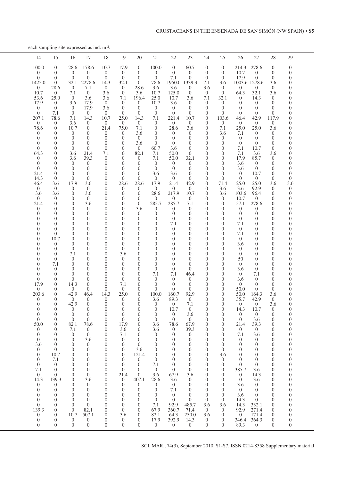each sampling site expressed as ind.  $m^2$ .

|  | 15<br>14                                                                                                                                                                                                                                                                                                                                                                                                                                                                                                                                                                                                                                                                                                                                                                                                                                                                                                                                                                                                                                                                                                                                                                                                                                                                                                                                                                                                                                                                                                                                                                                                                                                                                                                                                                                                                                                                                                                                                                                                                     | 16                                                                                                                                                                                                                                                                                                                                                                                                                                                                                                                                                                                                                                                                                                                                                                                                                                                                                                                                                                                                           | 17<br>18                                                                                                                                                                                                                                                                                                                                                                                                                                                                                                                                                                                                                                                                                                                                                                                                                                                                                                                                                                                                                                                                                                                                                                                                                                                                                                                                                                                                                                                                                                                                                                                                                                                                                                                                                                                                                                                                                                                                                                                                                              | 19                                                                                                                                                                                                                                                                                                                                                                                                                                                                                                                                                                                                                                                                                                                                                                                                                                                                                                                                                                                                                                                               | 20                                                                                                                                                                                                                                                                                                                                                                                                                                                                                                                                                                                                                                                                                                                                                                                                                                                                                                                                                                                                                            | 21                                                                                                                                                                                                                                                                                                                                                                                                                                                                                                                                                                                                                                                                                                                                                                                                                                                                                                                                      | 22                                                                                                                                                                                                                                                                                                                                                                                                                                                                                                                                                                                                                                                                                                                                                                                                                                                                                                                                                                                      | 23                                                                                                                                                                                                                                                                                                                                                                                                                                                                                                                                                                                                                                                                                                                                                                                                                                                                                                                     | 24                                                                                                                                                                                                                                                                                                                                                                                                                                                                                                                                                                                                                                                                                                                                                                                                                                                                                                                                                                           | 25                                                                                                                                                                                                                                                                                                                                                                                                                                                                                                                                                                                                                                                                                                                                                                                                                                                                                                                                                                         | 26                                                                                                                                                                                                                                                                                                                                                                                                                                                                                                                                                                                                                                                                                                                                                                                                                                                                            | 27<br>28                                                                                                                                                                                                                                                                                                                                                                                                                                                                                                                                                                                                                                                                                                                                                                                                                                                                                                                                                                                                                                                                                                                                                                                                                                                                                                                                                                                                                                                                                                                                                                                                                                                                                                                                                                                                                                                                                                                                                | 29                                                                                                                                                                                                                                                                                                                                                                                                                                                                                                                                                                                                                                                                                                                                                                                                                                                                                                                                                                                                             |  |
|--|------------------------------------------------------------------------------------------------------------------------------------------------------------------------------------------------------------------------------------------------------------------------------------------------------------------------------------------------------------------------------------------------------------------------------------------------------------------------------------------------------------------------------------------------------------------------------------------------------------------------------------------------------------------------------------------------------------------------------------------------------------------------------------------------------------------------------------------------------------------------------------------------------------------------------------------------------------------------------------------------------------------------------------------------------------------------------------------------------------------------------------------------------------------------------------------------------------------------------------------------------------------------------------------------------------------------------------------------------------------------------------------------------------------------------------------------------------------------------------------------------------------------------------------------------------------------------------------------------------------------------------------------------------------------------------------------------------------------------------------------------------------------------------------------------------------------------------------------------------------------------------------------------------------------------------------------------------------------------------------------------------------------------|--------------------------------------------------------------------------------------------------------------------------------------------------------------------------------------------------------------------------------------------------------------------------------------------------------------------------------------------------------------------------------------------------------------------------------------------------------------------------------------------------------------------------------------------------------------------------------------------------------------------------------------------------------------------------------------------------------------------------------------------------------------------------------------------------------------------------------------------------------------------------------------------------------------------------------------------------------------------------------------------------------------|---------------------------------------------------------------------------------------------------------------------------------------------------------------------------------------------------------------------------------------------------------------------------------------------------------------------------------------------------------------------------------------------------------------------------------------------------------------------------------------------------------------------------------------------------------------------------------------------------------------------------------------------------------------------------------------------------------------------------------------------------------------------------------------------------------------------------------------------------------------------------------------------------------------------------------------------------------------------------------------------------------------------------------------------------------------------------------------------------------------------------------------------------------------------------------------------------------------------------------------------------------------------------------------------------------------------------------------------------------------------------------------------------------------------------------------------------------------------------------------------------------------------------------------------------------------------------------------------------------------------------------------------------------------------------------------------------------------------------------------------------------------------------------------------------------------------------------------------------------------------------------------------------------------------------------------------------------------------------------------------------------------------------------------|------------------------------------------------------------------------------------------------------------------------------------------------------------------------------------------------------------------------------------------------------------------------------------------------------------------------------------------------------------------------------------------------------------------------------------------------------------------------------------------------------------------------------------------------------------------------------------------------------------------------------------------------------------------------------------------------------------------------------------------------------------------------------------------------------------------------------------------------------------------------------------------------------------------------------------------------------------------------------------------------------------------------------------------------------------------|-------------------------------------------------------------------------------------------------------------------------------------------------------------------------------------------------------------------------------------------------------------------------------------------------------------------------------------------------------------------------------------------------------------------------------------------------------------------------------------------------------------------------------------------------------------------------------------------------------------------------------------------------------------------------------------------------------------------------------------------------------------------------------------------------------------------------------------------------------------------------------------------------------------------------------------------------------------------------------------------------------------------------------|-----------------------------------------------------------------------------------------------------------------------------------------------------------------------------------------------------------------------------------------------------------------------------------------------------------------------------------------------------------------------------------------------------------------------------------------------------------------------------------------------------------------------------------------------------------------------------------------------------------------------------------------------------------------------------------------------------------------------------------------------------------------------------------------------------------------------------------------------------------------------------------------------------------------------------------------|-----------------------------------------------------------------------------------------------------------------------------------------------------------------------------------------------------------------------------------------------------------------------------------------------------------------------------------------------------------------------------------------------------------------------------------------------------------------------------------------------------------------------------------------------------------------------------------------------------------------------------------------------------------------------------------------------------------------------------------------------------------------------------------------------------------------------------------------------------------------------------------------------------------------------------------------------------------------------------------------|------------------------------------------------------------------------------------------------------------------------------------------------------------------------------------------------------------------------------------------------------------------------------------------------------------------------------------------------------------------------------------------------------------------------------------------------------------------------------------------------------------------------------------------------------------------------------------------------------------------------------------------------------------------------------------------------------------------------------------------------------------------------------------------------------------------------------------------------------------------------------------------------------------------------|------------------------------------------------------------------------------------------------------------------------------------------------------------------------------------------------------------------------------------------------------------------------------------------------------------------------------------------------------------------------------------------------------------------------------------------------------------------------------------------------------------------------------------------------------------------------------------------------------------------------------------------------------------------------------------------------------------------------------------------------------------------------------------------------------------------------------------------------------------------------------------------------------------------------------------------------------------------------------|----------------------------------------------------------------------------------------------------------------------------------------------------------------------------------------------------------------------------------------------------------------------------------------------------------------------------------------------------------------------------------------------------------------------------------------------------------------------------------------------------------------------------------------------------------------------------------------------------------------------------------------------------------------------------------------------------------------------------------------------------------------------------------------------------------------------------------------------------------------------------------------------------------------------------------------------------------------------------|-------------------------------------------------------------------------------------------------------------------------------------------------------------------------------------------------------------------------------------------------------------------------------------------------------------------------------------------------------------------------------------------------------------------------------------------------------------------------------------------------------------------------------------------------------------------------------------------------------------------------------------------------------------------------------------------------------------------------------------------------------------------------------------------------------------------------------------------------------------------------------|---------------------------------------------------------------------------------------------------------------------------------------------------------------------------------------------------------------------------------------------------------------------------------------------------------------------------------------------------------------------------------------------------------------------------------------------------------------------------------------------------------------------------------------------------------------------------------------------------------------------------------------------------------------------------------------------------------------------------------------------------------------------------------------------------------------------------------------------------------------------------------------------------------------------------------------------------------------------------------------------------------------------------------------------------------------------------------------------------------------------------------------------------------------------------------------------------------------------------------------------------------------------------------------------------------------------------------------------------------------------------------------------------------------------------------------------------------------------------------------------------------------------------------------------------------------------------------------------------------------------------------------------------------------------------------------------------------------------------------------------------------------------------------------------------------------------------------------------------------------------------------------------------------------------------------------------------------|----------------------------------------------------------------------------------------------------------------------------------------------------------------------------------------------------------------------------------------------------------------------------------------------------------------------------------------------------------------------------------------------------------------------------------------------------------------------------------------------------------------------------------------------------------------------------------------------------------------------------------------------------------------------------------------------------------------------------------------------------------------------------------------------------------------------------------------------------------------------------------------------------------------------------------------------------------------------------------------------------------------|--|
|  | 100.0<br>$\Omega$<br>$\overline{0}$<br>$\overline{0}$<br>$\overline{0}$<br>$\Omega$<br>1425.0<br>$\overline{0}$<br>$\overline{0}$<br>28.6<br>10.7<br>$\Omega$<br>53.6<br>25.0<br>17.9<br>$\overline{0}$<br>$\overline{0}$<br>$\overline{0}$<br>$\overline{0}$<br>7.1<br>207.1<br>78.6<br>$\overline{0}$<br>$\theta$<br>78.6<br>$\Omega$<br>$\Omega$<br>$\overline{0}$<br>$\Omega$<br>$\Omega$<br>$\overline{0}$<br>$\theta$<br>$\Omega$<br>$\theta$<br>64.3<br>$\mathbf{0}$<br>$\overline{0}$<br>$\Omega$<br>$\overline{0}$<br>$\Omega$<br>$\overline{0}$<br>$\theta$<br>21.4<br>$\theta$<br>14.3<br>$\theta$<br>46.4<br>3.6<br>$\overline{0}$<br>$\Omega$<br>3.6<br>3.6<br>$\overline{0}$<br>$\Omega$<br>21.4<br>$\theta$<br>$\overline{0}$<br>$\theta$<br>$\Omega$<br>$\Omega$<br>$\Omega$<br>$\Omega$<br>$\Omega$<br>$\Omega$<br>$\theta$<br>$\Omega$<br>$\theta$<br>$\Omega$<br>10.7<br>$\Omega$<br>$\Omega$<br>$\theta$<br>$\Omega$<br>$\overline{0}$<br>$\theta$<br>$\Omega$<br>$\Omega$<br>$\Omega$<br>7.1<br>$\Omega$<br>$\theta$<br>$\Omega$<br>$\theta$<br>$\Omega$<br>$\Omega$<br>17.9<br>$\Omega$<br>$\overline{0}$<br>$\theta$<br>203.6<br>$\theta$<br>$\theta$<br>$\overline{0}$<br>$\Omega$<br>$\Omega$<br>$\Omega$<br>$\Omega$<br>$\overline{0}$<br>$\theta$<br>$\overline{0}$<br>$\overline{0}$<br>$\boldsymbol{0}$<br>50.0<br>$\overline{0}$<br>$\boldsymbol{0}$<br>$\boldsymbol{0}$<br>$\boldsymbol{0}$<br>$\overline{0}$<br>$\boldsymbol{0}$<br>$^{3.6}_{\rm 0}$<br>$\boldsymbol{0}$<br>$\boldsymbol{0}$<br>$\boldsymbol{0}$<br>10.7<br>$\theta$<br>7.1<br>$\boldsymbol{0}$<br>$\boldsymbol{0}$<br>$\stackrel{7.1}{_{0}}$<br>$\boldsymbol{0}$<br>$\overline{0}$<br>$\frac{14.3}{0}$<br>139.3<br>$\begin{smallmatrix}0\\0\end{smallmatrix}$<br>$\overline{0}$<br>$\boldsymbol{0}$<br>$\boldsymbol{0}$<br>$\theta$<br>$\boldsymbol{0}$<br>$\overline{0}$<br>$\mathbf{0}$<br>139.3<br>$\boldsymbol{0}$<br>$\stackrel{0}{0}$<br>$\boldsymbol{0}$<br>$\boldsymbol{0}$<br>$\boldsymbol{0}$<br>$\boldsymbol{0}$ | 28.6<br>$\overline{0}$<br>$\overline{0}$<br>32.1<br>$\overline{0}$<br>7.1<br>$\Omega$<br>3.6<br>$\overline{0}$<br>$\Omega$<br>7.1<br>3.6<br>10.7<br>$\overline{0}$<br>$\overline{0}$<br>$\theta$<br>$\theta$<br>3.6<br>3.6<br>$\overline{0}$<br>$\theta$<br>$\Omega$<br>$\Omega$<br>17.9<br>$\Omega$<br>$\overline{0}$<br>$\Omega$<br>$\Omega$<br>$\theta$<br>$\Omega$<br>$\Omega$<br>$\Omega$<br>$\theta$<br>$\Omega$<br>$\theta$<br>$\theta$<br>$\Omega$<br>7.1<br>$\Omega$<br>$\theta$<br>$\theta$<br>$\Omega$<br>$\Omega$<br>14.3<br>$\Omega$<br>42.9<br>$\overline{0}$<br>42.9<br>$\Omega$<br>$\overline{0}$<br>$\overline{0}$<br>82.1<br>7.1<br>$\boldsymbol{0}$<br>$\boldsymbol{0}$<br>$\overline{0}$<br>$\theta$<br>$\boldsymbol{0}$<br>$\overline{0}$<br>$\boldsymbol{0}$<br>$\overline{0}$<br>$\overline{0}$<br>$\overline{0}$<br>$\boldsymbol{0}$<br>$\boldsymbol{0}$<br>$\boldsymbol{0}$<br>$\overline{0}$<br>$\overline{0}$<br>$\boldsymbol{0}$<br>$10.7\,$<br>$\overline{0}$<br>$\overline{0}$ | 178.6<br>10.7<br>$\overline{0}$<br>$\Omega$<br>$\overline{0}$<br>$\theta$<br>2278.6<br>14.3<br>$\theta$<br>7.1<br>$\overline{0}$<br>3.6<br>3.6<br>3.6<br>17.9<br>$\overline{0}$<br>17.9<br>3.6<br>$\overline{0}$<br>$\overline{0}$<br>10.7<br>14.3<br>$\overline{0}$<br>$\theta$<br>21.4<br>$\overline{0}$<br>$\overline{0}$<br>$\Omega$<br>$\theta$<br>$\overline{0}$<br>$\theta$<br>$\Omega$<br>$\theta$<br>$\Omega$<br>21.4<br>7.1<br>39.3<br>$\theta$<br>$\Omega$<br>$\Omega$<br>$\Omega$<br>$\Omega$<br>$\Omega$<br>$\Omega$<br>$\Omega$<br>$\Omega$<br>$\theta$<br>3.6<br>$\Omega$<br>$\overline{0}$<br>$\overline{0}$<br>3.6<br>$\Omega$<br>$\overline{0}$<br>$\theta$<br>3.6<br>$\Omega$<br>$\theta$<br>$\Omega$<br>$\theta$<br>$\Omega$<br>$\Omega$<br>$\Omega$<br>$\Omega$<br>$\overline{0}$<br>$\Omega$<br>$\theta$<br>$\Omega$<br>$\theta$<br>$\Omega$<br>$\overline{0}$<br>$\Omega$<br>$\Omega$<br>$\Omega$<br>$\theta$<br>$\Omega$<br>$\Omega$<br>$\Omega$<br>$\theta$<br>$\Omega$<br>$\Omega$<br>$\theta$<br>$\theta$<br>$\Omega$<br>$\Omega$<br>$\Omega$<br>$\Omega$<br>$\Omega$<br>$\overline{0}$<br>$\overline{0}$<br>14.3<br>46.4<br>$\theta$<br>$\Omega$<br>$\Omega$<br>$\Omega$<br>$\theta$<br>$\Omega$<br>$\overline{0}$<br>$\Omega$<br>$\overline{0}$<br>$\overline{0}$<br>78.6<br>$\boldsymbol{0}$<br>$\boldsymbol{0}$<br>$\overline{0}$<br>$\boldsymbol{0}$<br>$\overline{0}$<br>3.6<br>$\mathbf{0}$<br>$\theta$<br>$\overline{0}$<br>$\Omega$<br>$\boldsymbol{0}$<br>$\boldsymbol{0}$<br>$\overline{0}$<br>$\boldsymbol{0}$<br>$\overline{0}$<br>$\boldsymbol{0}$<br>$\overline{0}$<br>$\boldsymbol{0}$<br>$\overline{0}$<br>$\overline{0}$<br>$\overline{0}$<br>3.6<br>$\overline{0}$<br>$\boldsymbol{0}$<br>$\overline{0}$<br>$\boldsymbol{0}$<br>$\overline{0}$<br>$\boldsymbol{0}$<br>$\overline{0}$<br>$\mathbf{0}$<br>$\overline{0}$<br>$\overline{0}$<br>$\theta$<br>$82.1$<br>507.1<br>$\boldsymbol{0}$<br>$\boldsymbol{0}$<br>$\boldsymbol{0}$<br>$\overline{0}$<br>$\overline{0}$<br>$\mathbf{0}$ | 17.9<br>$\overline{0}$<br>$\overline{0}$<br>32.1<br>$\overline{0}$<br>$\overline{0}$<br>7.1<br>$\overline{0}$<br>$\overline{0}$<br>$\overline{0}$<br>25.0<br>$\Omega$<br>75.0<br>$\Omega$<br>$\overline{0}$<br>$\Omega$<br>$\overline{0}$<br>$\overline{0}$<br>$\overline{0}$<br>$\overline{0}$<br>$\overline{0}$<br>$\Omega$<br>$\Omega$<br>28.6<br>$\Omega$<br>$\overline{0}$<br>$\overline{0}$<br>$\overline{0}$<br>$\theta$<br>$\Omega$<br>$\Omega$<br>$\Omega$<br>$\Omega$<br>$\Omega$<br>$\theta$<br>$\Omega$<br>$\Omega$<br>3.6<br>$\overline{0}$<br>$\overline{0}$<br>$\overline{0}$<br>$\theta$<br>$\Omega$<br>7.1<br>$\Omega$<br>25.0<br>$\theta$<br>$\Omega$<br>$\Omega$<br>$\overline{0}$<br>$\overline{0}$<br>$\frac{17.9}{3.6}$<br>$7.1\,$<br>$\overline{0}$<br>$\overline{0}$<br>$\overline{0}$<br>$\overline{0}$<br>$\mathbf{0}$<br>$\overline{0}$<br>$\overline{0}$<br>21.4<br>$\overline{0}$<br>$\overline{0}$<br>$\overline{0}$<br>$\boldsymbol{0}$<br>$\overline{0}$<br>$\overline{0}$<br>$\overline{0}$<br>$^{3.6}_{\ 0}$<br>$\overline{0}$ | $\overline{0}$<br>$\overline{0}$<br>$\overline{0}$<br>$\overline{0}$<br>28.6<br>3.6<br>196.4<br>$\overline{0}$<br>$\overline{0}$<br>$\overline{0}$<br>14.3<br>$\overline{0}$<br>7.1<br>3.6<br>$\overline{0}$<br>3.6<br>$\overline{0}$<br>82.1<br>$\overline{0}$<br>$\overline{0}$<br>$\Omega$<br>$\Omega$<br>$\Omega$<br>28.6<br>$\Omega$<br>$\Omega$<br>$\overline{0}$<br>$\overline{0}$<br>3.6<br>$\Omega$<br>$\Omega$<br>$\Omega$<br>$\Omega$<br>$\Omega$<br>$\theta$<br>$\Omega$<br>$\Omega$<br>$\overline{0}$<br>$\Omega$<br>$\Omega$<br>$\theta$<br>$\Omega$<br>$\Omega$<br>$\Omega$<br>$\Omega$<br>$\Omega$<br>$\theta$<br>$\Omega$<br>$\Omega$<br>$\overline{0}$<br>$\overline{0}$<br>$\boldsymbol{0}$<br>$\theta$<br>$\boldsymbol{0}$<br>$\theta$<br>$\overline{0}$<br>3.6<br>121.4<br>$\theta$<br>$\boldsymbol{0}$<br>$\theta$<br>$\overline{0}$<br>407.1<br>$\boldsymbol{0}$<br>$\theta$<br>$\mathbf{0}$<br>$\theta$<br>$\mathbf{0}$<br>$\begin{smallmatrix}0\\0\end{smallmatrix}$<br>$\theta$<br>$\boldsymbol{0}$ | 100.0<br>$\overline{0}$<br>$\overline{0}$<br>78.6<br>3.6<br>10.7<br>25.0<br>10.7<br>$\overline{0}$<br>$\overline{0}$<br>7.1<br>$\Omega$<br>$\Omega$<br>$\overline{0}$<br>$\overline{0}$<br>$\overline{0}$<br>60.7<br>7.1<br>7.1<br>$\overline{0}$<br>$\overline{0}$<br>3.6<br>$\Omega$<br>17.9<br>$\overline{0}$<br>28.6<br>$\overline{0}$<br>285.7<br>$\overline{0}$<br>$\Omega$<br>$\Omega$<br>$\Omega$<br>$\Omega$<br>$\Omega$<br>$\Omega$<br>$\Omega$<br>$\Omega$<br>$\Omega$<br>$\Omega$<br>$\Omega$<br>7.1<br>$\Omega$<br>$\Omega$<br>$\Omega$<br>100.0<br>3.6<br>$\Omega$<br>$\Omega$<br>$\overline{0}$<br>$\overline{0}$<br>$\frac{3.6}{3.6}$<br>$\boldsymbol{0}$<br>$\overline{0}$<br>$\overline{0}$<br>$\overline{0}$<br>$\overline{0}$<br>$\overline{0}$<br>7.1<br>$\theta$<br>$\frac{3.6}{28.6}$<br>$\overline{0}$<br>$\overline{0}$<br>$\overline{0}$<br>$\overline{0}$<br>7.1<br>67.9<br>$82.1$<br>17.9<br>$\overline{0}$ | $\overline{0}$<br>$\overline{0}$<br>7.1<br>1950.0 1339.3<br>3.6<br>125.0<br>10.7<br>3.6<br>$\overline{0}$<br>$\overline{0}$<br>221.4<br>$\Omega$<br>28.6<br>$\overline{0}$<br>$\overline{0}$<br>$\overline{0}$<br>3.6<br>50.0<br>50.0<br>$\overline{0}$<br>$\overline{0}$<br>3.6<br>$\overline{0}$<br>21.4<br>$\Omega$<br>217.9<br>$\Omega$<br>285.7<br>$\Omega$<br>$\Omega$<br>$\Omega$<br>7.1<br>$\Omega$<br>$\overline{0}$<br>$\theta$<br>$\Omega$<br>$\Omega$<br>$\Omega$<br>$\overline{0}$<br>$\overline{0}$<br>$\overline{0}$<br>7.1<br>$\Omega$<br>$\overline{0}$<br>$\Omega$<br>160.7<br>89.3<br>$\Omega$<br>10.7<br>$\overline{0}$<br>$\overline{0}$<br>$78.6 \atop 0$<br>$\boldsymbol{0}$<br>$\overline{0}$<br>$\overline{0}$<br>$\overline{0}$<br>$\overline{0}$<br>$\overline{0}$<br>$\boldsymbol{0}$<br>$\boldsymbol{0}$<br>67.9<br>$3.6$<br>$\stackrel{0}{\mathbf{7.1}}$<br>$\overline{0}$<br>$\overline{0}$<br>$\frac{92.9}{360.7}$<br>$64.3$<br>392.9<br>$\overline{0}$ | 60.7<br>$\overline{0}$<br>$\Omega$<br>$\Omega$<br>$\overline{0}$<br>3.6<br>$\overline{0}$<br>$\Omega$<br>$\Omega$<br>10.7<br>$\Omega$<br>3.6<br>$\overline{0}$<br>$\Omega$<br>$\Omega$<br>$\overline{0}$<br>$\theta$<br>32.1<br>$\Omega$<br>$\Omega$<br>$\Omega$<br>$\Omega$<br>42.9<br>$\Omega$<br>10.7<br>$\Omega$<br>7.1<br>$\Omega$<br>$\Omega$<br>$\Omega$<br>$\Omega$<br>$\Omega$<br>$\Omega$<br>$\Omega$<br>$\Omega$<br>$\Omega$<br>$\Omega$<br>$\Omega$<br>$\theta$<br>46.4<br>$\Omega$<br>$\Omega$<br>$\Omega$<br>92.9<br>$\theta$<br>7.1<br>$\Omega$<br>3.6<br>$\overline{0}$<br>$67.9$<br>39.3<br>$\boldsymbol{0}$<br>$\overline{0}$<br>$\theta$<br>$\boldsymbol{0}$<br>$\theta$<br>$\boldsymbol{0}$<br>$\boldsymbol{0}$<br>$\boldsymbol{0}$<br>3.6<br>$\overline{0}$<br>$\boldsymbol{0}$<br>$\boldsymbol{0}$<br>$\boldsymbol{0}$<br>$\boldsymbol{0}$<br>$485.7$<br>71.4<br>250.0<br>14.3<br>$\overline{0}$ | $\theta$<br>$\overline{0}$<br>$\overline{0}$<br>7.1<br>3.6<br>$\overline{0}$<br>7.1<br>$\theta$<br>$\Omega$<br>$\Omega$<br>$\theta$<br>$\Omega$<br>$\Omega$<br>$\Omega$<br>$\Omega$<br>$\Omega$<br>$\Omega$<br>$\Omega$<br>$\Omega$<br>$\Omega$<br>$\Omega$<br>$\Omega$<br>$\Omega$<br>$\overline{0}$<br>$\Omega$<br>$\Omega$<br>$\Omega$<br>$\overline{0}$<br>$\Omega$<br>$\Omega$<br>$\Omega$<br>$\Omega$<br>$\Omega$<br>$\Omega$<br>$\Omega$<br>$\Omega$<br>$\Omega$<br>$\Omega$<br>$\Omega$<br>$\Omega$<br>$\theta$<br>$\Omega$<br>$\Omega$<br>$\Omega$<br>$\Omega$<br>$\Omega$<br>$\overline{0}$<br>$\Omega$<br>$\Omega$<br>$\Omega$<br>$\overline{0}$<br>$\boldsymbol{0}$<br>$\theta$<br>$\boldsymbol{0}$<br>$\theta$<br>$\Omega$<br>$\theta$<br>$\theta$<br>$\theta$<br>$\theta$<br>$\theta$<br>$\overline{0}$<br>$\overline{0}$<br>$\boldsymbol{0}$<br>$\boldsymbol{0}$<br>$\boldsymbol{0}$<br>$\boldsymbol{0}$<br>$_{0}^{3.6}$<br>$\frac{3.6}{0}$<br>$\overline{0}$ | $\Omega$<br>$\overline{0}$<br>$\overline{0}$<br>3.6<br>$\overline{0}$<br>$\Omega$<br>32.1<br>$\overline{0}$<br>$\overline{0}$<br>$\overline{0}$<br>103.6<br>$\overline{0}$<br>7.1<br>3.6<br>$\overline{0}$<br>$\Omega$<br>$\Omega$<br>$\Omega$<br>$\overline{0}$<br>$\overline{0}$<br>$\Omega$<br>$\Omega$<br>71.4<br>3.6<br>3.6<br>$\overline{0}$<br>$\overline{0}$<br>$\Omega$<br>$\Omega$<br>$\Omega$<br>$\Omega$<br>$\Omega$<br>$\Omega$<br>$\Omega$<br>$\Omega$<br>$\Omega$<br>$\Omega$<br>$\Omega$<br>$\Omega$<br>$\Omega$<br>$\Omega$<br>$\Omega$<br>$\overline{0}$<br>$\overline{0}$<br>$\overline{0}$<br>$\overline{0}$<br>$\overline{0}$<br>$\overline{0}$<br>$\overline{0}$<br>$\overline{0}$<br>3.6<br>$\overline{0}$<br>$\mathbf{0}$<br>$\overline{0}$<br>$\overline{0}$<br>$\overline{0}$<br>$\overline{0}$<br>$\overline{0}$<br>$\theta$<br>$\overline{0}$<br>$\begin{array}{c} 3.6 \\ 0 \end{array}$<br>$\overline{0}$<br>$\overline{0}$<br>$\overline{0}$ | 214.3<br>10.7<br>17.9<br>1003.6 1278.6<br>$\Omega$<br>64.3<br>$\Omega$<br>$\overline{0}$<br>$\Omega$<br>$\overline{0}$<br>46.4<br>$\Omega$<br>25.0<br>7.1<br>$\overline{0}$<br>$\Omega$<br>7.1<br>7.1<br>17.9<br>3.6<br>3.6<br>$\Omega$<br>$\Omega$<br>25.0<br>3.6<br>103.6<br>10.7<br>57.1<br>$\Omega$<br>$\Omega$<br>$\Omega$<br>7.1<br>$\Omega$<br>7.1<br>$\theta$<br>3.6<br>$\Omega$<br>$\overline{0}$<br>50<br>$\Omega$<br>3.6<br>$\Omega$<br>3.6<br>$\overline{0}$<br>50.0<br>50.0<br>35.7<br>$\Omega$<br>14.3<br>$\overline{0}$<br>$\overline{0}$<br>21.4<br>$\overline{0}$<br>$7.1\,$<br>$\overline{0}$<br>$\overline{0}$<br>$\overline{0}$<br>$\overline{0}$<br>$\overline{0}$<br>$\overline{0}$<br>385.7<br>$\overline{0}$<br>$\boldsymbol{0}$<br>$3.6\,$<br>$\overline{0}$<br>$3.6\,$<br>14.3<br>14.3<br>92.9<br>$\begin{array}{c} 0 \\ 346.4 \end{array}$<br>89.3 | 278.6<br>$\Omega$<br>$\overline{0}$<br>$\overline{0}$<br>$\overline{0}$<br>$\overline{0}$<br>3.6<br>$\overline{0}$<br>$\Omega$<br>32.1<br>3.6<br>14.3<br>$\Omega$<br>$\overline{0}$<br>$\Omega$<br>$\overline{0}$<br>$\Omega$<br>$\Omega$<br>$\Omega$<br>42.9<br>117.9<br>$\overline{0}$<br>$\overline{0}$<br>25.0<br>3.6<br>$\overline{0}$<br>$\overline{0}$<br>$\Omega$<br>$\Omega$<br>$\overline{0}$<br>$\Omega$<br>10.7<br>$\theta$<br>3.6<br>3.6<br>85.7<br>$\Omega$<br>$\overline{0}$<br>$\Omega$<br>$\overline{0}$<br>$\overline{0}$<br>10.7<br>$\Omega$<br>$\overline{0}$<br>$\Omega$<br>25.0<br>3.6<br>92.9<br>$\Omega$<br>96.4<br>$\Omega$<br>$\overline{0}$<br>$\Omega$<br>278.6<br>$\Omega$<br>$\Omega$<br>$\Omega$<br>$\Omega$<br>$\Omega$<br>$\Omega$<br>$\Omega$<br>$\Omega$<br>$\overline{0}$<br>$\Omega$<br>$\Omega$<br>$\Omega$<br>$\theta$<br>$\Omega$<br>$\overline{0}$<br>0<br>$\Omega$<br>$\Omega$<br>$\overline{0}$<br>$\Omega$<br>$\overline{0}$<br>$\Omega$<br>$\overline{0}$<br>$\Omega$<br>$\overline{0}$<br>$\theta$<br>7.1<br>$\Omega$<br>$\Omega$<br>$\Omega$<br>$\Omega$<br>$\overline{0}$<br>$\Omega$<br>164.3<br>3.6<br>42.9<br>$\Omega$<br>$\Omega$<br>3.6<br>10.7<br>$\Omega$<br>$\overline{0}$<br>$\Omega$<br>3.6<br>$\overline{0}$<br>39.3<br>$\overline{0}$<br>$\theta$<br>$\overline{0}$<br>3.6<br>$\theta$<br>$\theta$<br>$\overline{0}$<br>$\theta$<br>$\overline{0}$<br>$\mathbf{0}$<br>$\overline{0}$<br>$\overline{0}$<br>$\overline{0}$<br>$\mathbf{0}$<br>$\overline{0}$<br>$\boldsymbol{0}$<br>$\mathbf{0}$<br>$3.6$<br>$14.3$<br>$3.6$<br>$\overline{0}$<br>$\overline{0}$<br>$\overline{0}$<br>$\boldsymbol{0}$<br>$\overline{0}$<br>$\overline{0}$<br>$\overline{0}$<br>$\boldsymbol{0}$<br>$\theta$<br>$\boldsymbol{0}$<br>$\overline{0}$<br>$332.1$<br>$271.4$<br>$\overline{0}$<br>$\mathbf{0}$<br>$\frac{171.4}{364.3}$<br>$\overline{0}$<br>$\overline{0}$<br>$\overline{0}$<br>$\boldsymbol{0}$ | $\theta$<br>$\Omega$<br>$\Omega$<br>$\overline{0}$<br>$\overline{0}$<br>$\overline{0}$<br>$\Omega$<br>$\Omega$<br>$\theta$<br>$\Omega$<br>$\overline{0}$<br>$\overline{0}$<br>$\theta$<br>$\overline{0}$<br>$\overline{0}$<br>0<br>0<br>$\overline{0}$<br>$\overline{0}$<br>$\Omega$<br>0<br>0<br>$\boldsymbol{0}$<br>3.6<br>$\Omega$<br>$\overline{0}$<br>$\Omega$<br>0<br>$\overline{0}$<br>$\overline{0}$<br>0<br>$\Omega$<br>$\overline{0}$<br>0<br>0<br>0<br>$\theta$<br>$\overline{0}$<br>$\Omega$<br>0<br>0<br>0<br>0<br>$\Omega$<br>0<br>0<br>0<br>0<br>$\Omega$<br>$\overline{0}$<br>$\overline{0}$<br>$\boldsymbol{0}$<br>$\overline{0}$<br>$\boldsymbol{0}$<br>$\overline{0}$<br>$\boldsymbol{0}$<br>$\boldsymbol{0}$<br>$\boldsymbol{0}$<br>$\boldsymbol{0}$<br>$\boldsymbol{0}$<br>$\boldsymbol{0}$<br>$\overline{0}$<br>$\boldsymbol{0}$<br>$\boldsymbol{0}$<br>$\boldsymbol{0}$<br>$\boldsymbol{0}$<br>$\Omega$<br>$\boldsymbol{0}$<br>$\boldsymbol{0}$<br>$\boldsymbol{0}$<br>$\boldsymbol{0}$ |  |

SCI. MAR., 74(3), September 2010, S1-S7. ISSN 0214-8358 Supplementary material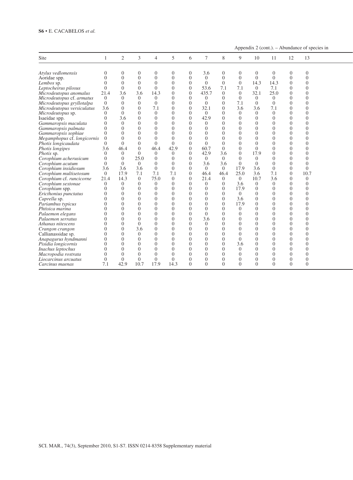Appendix  $2$  (cont.). – Abundance of species in

| Site                        |                | 2              | $\mathcal{R}$  | $\overline{4}$ | 5        | 6                     | $\tau$         | 8              | Q              | 10             | 11       | 12             | 13             |  |
|-----------------------------|----------------|----------------|----------------|----------------|----------|-----------------------|----------------|----------------|----------------|----------------|----------|----------------|----------------|--|
| Atylus vedlomensis          | $\overline{0}$ | $\overline{0}$ | $\overline{0}$ |                | $\Omega$ |                       | 3.6            | $\overline{0}$ | $\Omega$       | 0              | $\Omega$ | $\Omega$       |                |  |
| Aoridae spp.                | $\Omega$       | $\overline{0}$ | $\theta$       | $\Omega$       | $\Omega$ | $\Omega$              | $\theta$       | $\Omega$       | $\Omega$       | $\Omega$       | $\Omega$ | $\Omega$       | $\Omega$       |  |
|                             | $\theta$       |                |                | $\theta$       | $\Omega$ | $\Omega$              | $\Omega$       | $\Omega$       | $\Omega$       |                |          | $\Omega$       | $\Omega$       |  |
| Lembos sp.                  |                | $\theta$       | $\theta$       |                |          |                       |                |                |                | 14.3           | 14.3     |                |                |  |
| Leptocheirus pilosus        | $\overline{0}$ | $\theta$       | $\overline{0}$ | $\Omega$       | $\Omega$ |                       | 53.6           | 7.1            | 7.1            | $\Omega$       | 7.1      | $\Omega$       | $\Omega$       |  |
| Microdeutopus anomalus      | 21.4           | 3.6            | 3.6            | 14.3           | $\Omega$ |                       | 435.7          | $\Omega$       | $\Omega$       | 32.1           | 25.0     | $\theta$       | $\Omega$       |  |
| Microdeutopus cf. armatus   | $\overline{0}$ | $\theta$       | $\theta$       | $\theta$       | $\Omega$ |                       | $\Omega$       | $\Omega$       | $\Omega$       | $\Omega$       | $\Omega$ | $\Omega$       | $\Omega$       |  |
| Microdeutopus gryllotalpa   | $\overline{0}$ | $\theta$       | $\theta$       | $\theta$       | $\Omega$ |                       | $\Omega$       | $\Omega$       | 7.1            | $\Omega$       | $\Omega$ | $\Omega$       | $\Omega$       |  |
| Microdeutopus versiculatus  | 3.6            | $\theta$       | $\theta$       | 7.1            | $\Omega$ |                       | 32.1           | $\Omega$       | 3.6            | 3.6            | 7.1      | $\Omega$       | $\Omega$       |  |
| Microdeutopus sp.           | $\overline{0}$ | $\overline{0}$ | $\Omega$       | $\Omega$       | $\Omega$ | $\cap$                | $\Omega$       | $\Omega$       | $\Omega$       | $\Omega$       | $\Omega$ | $\Omega$       | $\Omega$       |  |
| Isaeidae spp.               | $\overline{0}$ | 3.6            | $\overline{0}$ | $\theta$       | $\Omega$ | $\theta$              | 42.9           | $\Omega$       | $\Omega$       | $\Omega$       | $\Omega$ | $\theta$       | $\Omega$       |  |
| Gammaropsis maculata        | $\Omega$       | $\theta$       | $\theta$       | $\theta$       | $\Omega$ | $\cap$                | $\Omega$       | $\Omega$       | $\Omega$       | $\theta$       | $\Omega$ | $\Omega$       | $\Omega$       |  |
| Gammaropsis palmata         | $\Omega$       | $\theta$       | $\theta$       | $\Omega$       | $\Omega$ | $\Omega$              | $\Omega$       | $\Omega$       | $\Omega$       | $\Omega$       | $\Omega$ | $\Omega$       | $\Omega$       |  |
| Gammaropsis sophiae         | $\Omega$       | $\theta$       | $\theta$       | $\Omega$       | $\Omega$ |                       | $\Omega$       | $\Omega$       | $\Omega$       | $\Omega$       | $\Omega$ | $\Omega$       | $\Omega$       |  |
| Megamphopus cf. longicornis | $\Omega$       | $\Omega$       | $\overline{0}$ | $\theta$       | $\Omega$ | $\Omega$              | $\Omega$       | $\Omega$       | $\Omega$       | $\Omega$       | $\Omega$ | $\Omega$       | $\Omega$       |  |
| Photis longicaudata         | $\Omega$       | $\overline{0}$ | $\overline{0}$ | $\theta$       | $\Omega$ |                       | $\Omega$       | $\Omega$       | $\Omega$       | $\Omega$       | $\Omega$ | $\Omega$       |                |  |
| Photis longipes             | 3.6            | 46.4           | $\Omega$       | 46.4           | 42.9     |                       | 60.7           | $\Omega$       | $\Omega$       | $\Omega$       | $\Omega$ | $\Omega$       | $\Omega$       |  |
| Photis sp.                  | $\overline{0}$ | $\theta$       | $\overline{0}$ | $\theta$       | $\Omega$ |                       | 42.9           | 3.6            | $\Omega$       | 17.9           | $\Omega$ | $\Omega$       |                |  |
| Corophium acherusicum       | $\overline{0}$ | $\Omega$       | 25.0           | $\Omega$       | $\Omega$ |                       | $\Omega$       | $\Omega$       | $\Omega$       | $\Omega$       | $\Omega$ | $\Omega$       | $\Omega$       |  |
| Corophium acutum            | $\overline{0}$ | $\Omega$       | $\overline{0}$ |                | $\Omega$ |                       | 3.6            | 3.6            | $\Omega$       | $\Omega$       | $\Omega$ | $\Omega$       | $\Omega$       |  |
| Corophium insidiosum        | 3.6            | 3.6            | 3.6            | $\Omega$       | $\Omega$ |                       | $\Omega$       | $\Omega$       | 17.9           | 3.6            | $\Omega$ | $\Omega$       | $\Omega$       |  |
| Corophium multisetosum      | $\overline{0}$ | 17.9           | 7.1            | 7.1            | 7.1      | $\Omega$              | 46.4           | 46.4           | 25.0           | 3.6            | 7.1      | $\overline{0}$ | 10.7           |  |
| Corophium cf. runcicorne    | 21.4           | 14.3           | $\overline{0}$ | 75.0           | $\Omega$ |                       | 21.4           | $\Omega$       | $\overline{0}$ | 10.7           | 3.6      | $\Omega$       | $\overline{0}$ |  |
| Corophium sextonae          | $\overline{0}$ | $\overline{0}$ | $\Omega$       | $\Omega$       | $\Omega$ |                       | $\theta$       | $\Omega$       | 3.6            | $\Omega$       | $\Omega$ | $\Omega$       | $\Omega$       |  |
| Corophium spp.              | $\overline{0}$ | $\mathbf{0}$   | $\theta$       | $\Omega$       | $\Omega$ | $\Omega$              | $\Omega$       | $\Omega$       | 17.9           | $\theta$       | $\Omega$ | $\Omega$       | $\Omega$       |  |
|                             | $\Omega$       |                | $\theta$       | $\Omega$       | $\Omega$ | $\cap$                | $\Omega$       | $\Omega$       | $\Omega$       | $\Omega$       | $\Omega$ | $\Omega$       | $\Omega$       |  |
| Ericthonius punctatus       |                | $\overline{0}$ |                |                |          | $\Omega$              |                | $\Omega$       |                |                |          |                |                |  |
| Caprella sp.                | $\Omega$       | $\theta$       | $\theta$       | $\theta$       | $\Omega$ |                       | $\Omega$       |                | 3.6            | $\theta$       | $\Omega$ | $\theta$       | $\Omega$       |  |
| Pariambus typicus           | $\overline{0}$ | $\theta$       | $\theta$       | $\theta$       | $\Omega$ | $\bigcap$<br>$\Omega$ | $\Omega$       | $\Omega$       | 17.9           | $\theta$       | $\Omega$ | $\Omega$       | $\Omega$       |  |
| Phtisica marina             | $\theta$       | $\theta$       | $\theta$       | $\theta$       | $\Omega$ |                       | $\Omega$       | $\Omega$       | $\Omega$       | $\Omega$       | $\Omega$ | $\Omega$       | $\Omega$       |  |
| Palaemon elegans            | $\theta$       | $\overline{0}$ | $\mathbf{0}$   | $\theta$       | $\Omega$ |                       | $\overline{0}$ | $\Omega$       | $\Omega$       | $\Omega$       | $\Omega$ | $\Omega$       | $\Omega$       |  |
| Palaemon serratus           | $\overline{0}$ | $\Omega$       | $\Omega$       | $\Omega$       | $\Omega$ | $\cap$                | 3.6            | $\Omega$       | $\Omega$       | $\Omega$       | $\Omega$ | $\Omega$       | $\Omega$       |  |
| Athanas nitescens           | $\Omega$       | $\theta$       | $\overline{0}$ | $\theta$       | $\Omega$ |                       | $\theta$       | $\Omega$       | $\Omega$       | $\theta$       | $\Omega$ | $\Omega$       | $\Omega$       |  |
| Crangon crangon             | $\Omega$       | $\Omega$       | 3.6            | $\theta$       | $\Omega$ |                       | $\Omega$       | $\Omega$       | $\Omega$       | $\Omega$       | $\Omega$ | $\Omega$       | $\Omega$       |  |
| Callianassidae sp.          | $\theta$       | $\overline{0}$ | $\overline{0}$ | $\Omega$       | $\Omega$ |                       | $\Omega$       | $\Omega$       | $\Omega$       | $\Omega$       | $\Omega$ | $\Omega$       |                |  |
| Anapagurus hyndmanni        | $\overline{0}$ | $\Omega$       | $\theta$       | $\Omega$       | $\Omega$ |                       | $\Omega$       | $\Omega$       | $\Omega$       | $\Omega$       | $\Omega$ | $\Omega$       | $\Omega$       |  |
| Pisidia longicornis         | $\overline{0}$ | $\overline{0}$ | $\theta$       |                | $\Omega$ | $\Omega$              | $\Omega$       | $\Omega$       | 3.6            | $\Omega$       | $\Omega$ | $\Omega$       |                |  |
| Inachus leptochus           | $\Omega$       | $\Omega$       | $\theta$       |                | $\Omega$ |                       | $\Omega$       | $\Omega$       | $\Omega$       | 0              | $\Omega$ | $\Omega$       |                |  |
| Macropodia rostrata         | $\theta$       | $\Omega$       | $\Omega$       | $\Omega$       | $\Omega$ |                       | $\Omega$       | $\Omega$       | $\Omega$       |                |          |                |                |  |
| Liocarcinus arcuatus        | $\theta$       | $\Omega$       | $\Omega$       | $\Omega$       | $\Omega$ |                       | $\Omega$       | $\Omega$       | 0              | $\overline{0}$ | $\Omega$ | $\Omega$       | $\Omega$       |  |
| Carcinus maenas             | 7.1            | 42.9           | 10.7           | 17.9           | 14.3     | $\Omega$              | $\Omega$       | $\Omega$       | $\Omega$       | $\Omega$       | $\Omega$ | $\Omega$       | $\Omega$       |  |
|                             |                |                |                |                |          |                       |                |                |                |                |          |                |                |  |